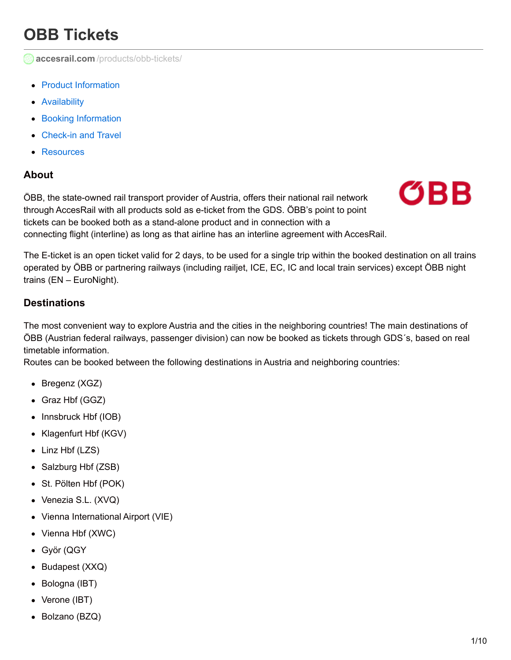# **OBB Tickets**

**accesrail.com** [/products/obb-tickets/](http://www.accesrail.com/products/obb-tickets/)

- Product [Information](#page-0-0)
- [Availability](#page-2-0)
- **Booking [Information](#page-4-0)**
- [Check-in](#page-7-0) and Travel
- **[Resources](#page-8-0)**

### <span id="page-0-0"></span>**About**

ÖBB, the state-owned rail transport provider of Austria, offers their national rail network through AccesRail with all products sold as e-ticket from the GDS. ÖBB's point to point tickets can be booked both as a stand-alone product and in connection with a connecting flight (interline) as long as that airline has an interline agreement with AccesRail.



The E-ticket is an open ticket valid for 2 days, to be used for a single trip within the booked destination on all trains operated by ÖBB or partnering railways (including railjet, ICE, EC, IC and local train services) except ÖBB night trains (EN – EuroNight).

### **Destinations**

The most convenient way to explore Austria and the cities in the neighboring countries! The main destinations of ÖBB (Austrian federal railways, passenger division) can now be booked as tickets through GDS´s, based on real timetable information.

Routes can be booked between the following destinations in Austria and neighboring countries:

- Bregenz (XGZ)
- Graz Hbf (GGZ)
- Innsbruck Hbf (IOB)
- Klagenfurt Hbf (KGV)
- Linz Hbf (LZS)
- Salzburg Hbf (ZSB)
- St. Pölten Hbf (POK)
- Venezia S.L. (XVQ)
- Vienna International Airport (VIE)
- Vienna Hbf (XWC)
- Györ (QGY
- Budapest (XXQ)
- Bologna (IBT)
- Verone (IBT)
- Bolzano (BZQ)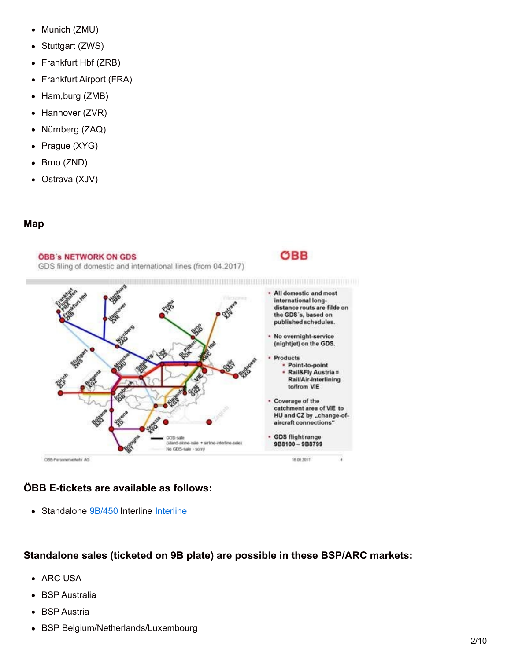- Munich (ZMU)
- Stuttgart (ZWS)
- Frankfurt Hbf (ZRB)
- Frankfurt Airport (FRA)
- Ham, burg (ZMB)
- Hannover (ZVR)
- Nürnberg (ZAQ)  $\bullet$
- Prague (XYG)  $\bullet$
- Brno (ZND)  $\bullet$
- Ostrava (XJV)

### **Map**

#### **ÖBB's NETWORK ON GDS**

GDS filing of domestic and international lines (from 04.2017)



OBB

## **ÖBB E-tickets are available as follows:**

• Standalone 9B/450 Interline Interline

### **Standalone sales (ticketed on 9B plate) are possible in these BSP/ARC markets:**

- ARC USA
- BSP Australia
- BSP Austria  $\bullet$
- BSP Belgium/Netherlands/Luxembourg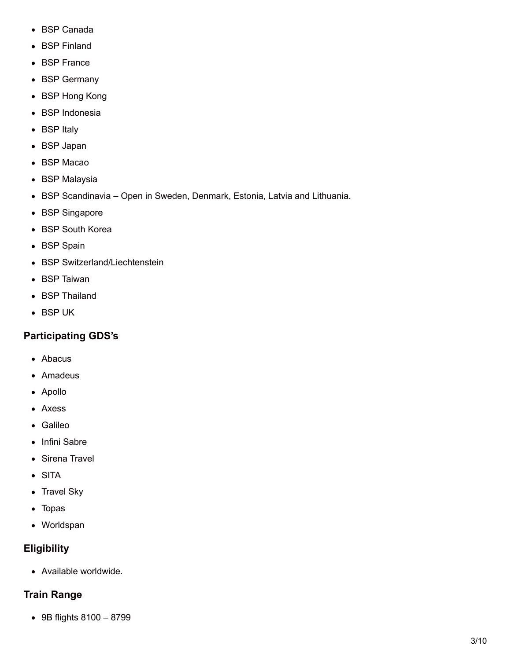- <span id="page-2-0"></span>BSP Canada
- BSP Finland
- BSP France
- BSP Germany
- BSP Hong Kong
- BSP Indonesia
- BSP Italy
- BSP Japan
- BSP Macao
- BSP Malaysia
- BSP Scandinavia Open in Sweden, Denmark, Estonia, Latvia and Lithuania.
- BSP Singapore
- BSP South Korea
- BSP Spain
- BSP Switzerland/Liechtenstein
- BSP Taiwan
- BSP Thailand
- BSP UK

## **Participating GDS's**

- Abacus
- Amadeus
- Apollo
- Axess
- Galileo
- Infini Sabre
- Sirena Travel
- SITA
- Travel Sky
- Topas
- Worldspan

### **Eligibility**

Available worldwide.

### **Train Range**

9B flights 8100 – 8799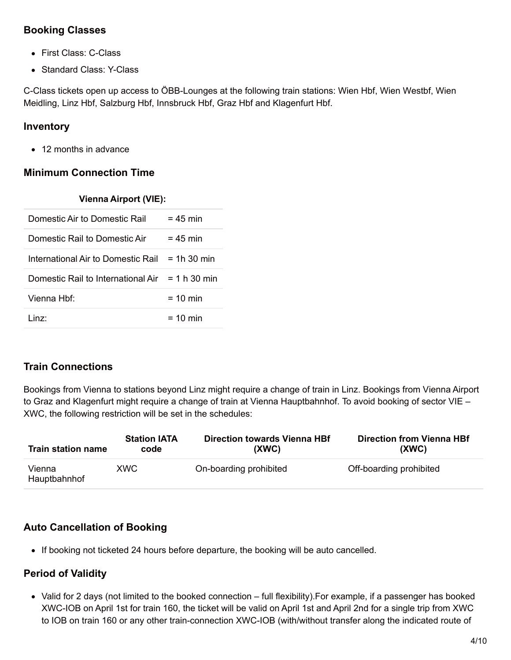### **Booking Classes**

- First Class: C-Class
- Standard Class: Y-Class

C-Class tickets open up access to ÖBB-Lounges at the following train stations: Wien Hbf, Wien Westbf, Wien Meidling, Linz Hbf, Salzburg Hbf, Innsbruck Hbf, Graz Hbf and Klagenfurt Hbf.

### **Inventory**

• 12 months in advance

## **Minimum Connection Time**

| <b>Vienna Airport (VIE):</b>                      |                       |
|---------------------------------------------------|-----------------------|
| Domestic Air to Domestic Rail                     | $= 45$ min            |
| Domestic Rail to Domestic Air                     | $= 45$ min            |
| International Air to Domestic Rail                | $= 1h.30 \text{ min}$ |
| Domestic Rail to International Air $= 1 h 30$ min |                       |
| Vienna Hhf <sup>.</sup>                           | $= 10$ min            |
| l inz <sup>.</sup>                                | $= 10$ min            |

# **Train Connections**

Bookings from Vienna to stations beyond Linz might require a change of train in Linz. Bookings from Vienna Airport to Graz and Klagenfurt might require a change of train at Vienna Hauptbahnhof. To avoid booking of sector VIE – XWC, the following restriction will be set in the schedules:

| <b>Train station name</b> | <b>Station IATA</b> | <b>Direction towards Vienna HBf</b> | <b>Direction from Vienna HBf</b> |
|---------------------------|---------------------|-------------------------------------|----------------------------------|
|                           | code                | (XWC)                               | (XWC)                            |
| Vienna<br>Hauptbahnhof    | <b>XWC</b>          | On-boarding prohibited              | Off-boarding prohibited          |

# **Auto Cancellation of Booking**

• If booking not ticketed 24 hours before departure, the booking will be auto cancelled.

# **Period of Validity**

Valid for 2 days (not limited to the booked connection – full flexibility).For example, if a passenger has booked XWC-IOB on April 1st for train 160, the ticket will be valid on April 1st and April 2nd for a single trip from XWC to IOB on train 160 or any other train-connection XWC-IOB (with/without transfer along the indicated route of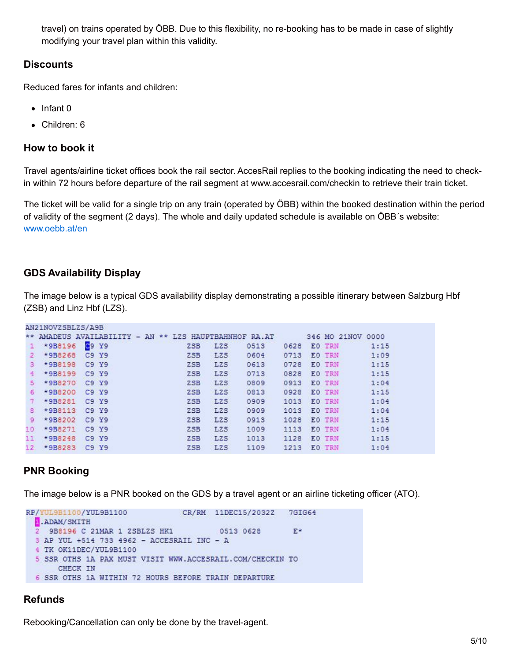<span id="page-4-0"></span>travel) on trains operated by ÖBB. Due to this flexibility, no re-booking has to be made in case of slightly modifying your travel plan within this validity.

### **Discounts**

Reduced fares for infants and children:

- $\bullet$  Infant 0
- Children: 6

#### **How to book it**

Travel agents/airline ticket offices book the rail sector. AccesRail replies to the booking indicating the need to checkin within 72 hours before departure of the rail segment at www.accesrail.com/checkin to retrieve their train ticket.

The ticket will be valid for a single trip on any train (operated by ÖBB) within the booked destination within the period of validity of the segment (2 days). The whole and daily updated schedule is available on ÖBB´s website: [www.oebb.at/en](http://www.oebb.at/en)

### **GDS Availability Display**

SMASMATHANT SA / SA

The image below is a typical GDS availability display demonstrating a possible itinerary between Salzburg Hbf (ZSB) and Linz Hbf (LZS).

|                 | ANZINUVZƏDLZƏ/AYD |                                                        |                 |                  |      |      |                   |      |
|-----------------|-------------------|--------------------------------------------------------|-----------------|------------------|------|------|-------------------|------|
|                 |                   | ** AMADEUS AVAILABILITY - AN ** LZS HAUPTBAHNHOF RA.AT |                 |                  |      |      | 346 MO 21NOV 0000 |      |
| ÷.              | *9B8196           | C9 Y9                                                  | Z <sub>SB</sub> | L <sub>2</sub> S | 0513 | 0628 | EO TRN            | 1:15 |
| $\mathbf{2}$    | *9B8268           | C9 Y9                                                  | Z <sub>SB</sub> | LZS              | 0604 | 0713 | EO TRN            | 1:09 |
| з.              | *9B8198           | C9 Y9                                                  | <b>ZSB</b>      | <b>LZS</b>       | 0613 | 0728 | EO TRN            | 1:15 |
| 4               | *9B8199           | C9 Y9                                                  | ZSB             | <b>LZS</b>       | 0713 | 0828 | EO TRN            | 1:15 |
| 5.              | *9B8270           | C9 Y9                                                  | <b>ZSB</b>      | <b>LZS</b>       | 0809 | 0913 | EO TRN            | 1:04 |
| 6               | *9B8200           | C9 Y9                                                  | <b>ZSB</b>      | L <sub>2</sub> S | 0813 | 0928 | EO TRN            | 1:15 |
|                 | *9B8281           | C9 Y9                                                  | Z <sub>SB</sub> | <b>LZS</b>       | 0909 | 1013 | EO TRN            | 1:04 |
| 8               | *9B8113           | C9 Y9                                                  | ZSB             | <b>LZS</b>       | 0909 | 1013 | EO TRN            | 1:04 |
| 9               | *9B8202           | C9 Y9                                                  | ZSB             | <b>LZS</b>       | 0913 | 1028 | EO TRN            | 1:15 |
| 10.             | *9B8271           | C9 Y9                                                  | Z <sub>SB</sub> | LZS              | 1009 | 1113 | EO TRN            | 1:04 |
| 11              | *9B8248           | C9 Y9                                                  | <b>ZSB</b>      | <b>LZS</b>       | 1013 | 1128 | EO TRN            | 1:15 |
| 12 <sup>7</sup> | *9B8283           | C9 Y9                                                  | Z <sub>SB</sub> | L <sub>2</sub> S | 1109 | 1213 | EO TRN            | 1:04 |

### **PNR Booking**

The image below is a PNR booked on the GDS by a travel agent or an airline ticketing officer (ATO).

```
RP/YUL9B1100/YUL9B1100
                                CR/RM 11DEC15/2032Z
                                                        7GIG64
ADAM/SMITH
2 9B8196 C 21MAR 1 ZSBLZS HK1
                                        0513 0628
                                                        E*
3 AP YUL +514 733 4962 - ACCESRAIL INC - A
4 TK OK11DEC/YUL9B1100
5 SSR OTHS 1A PAX MUST VISIT WWW.ACCESRAIL.COM/CHECKIN TO
     CHECK IN
6 SSR OTHS 1A WITHIN 72 HOURS BEFORE TRAIN DEPARTURE
```
### **Refunds**

Rebooking/Cancellation can only be done by the travel-agent.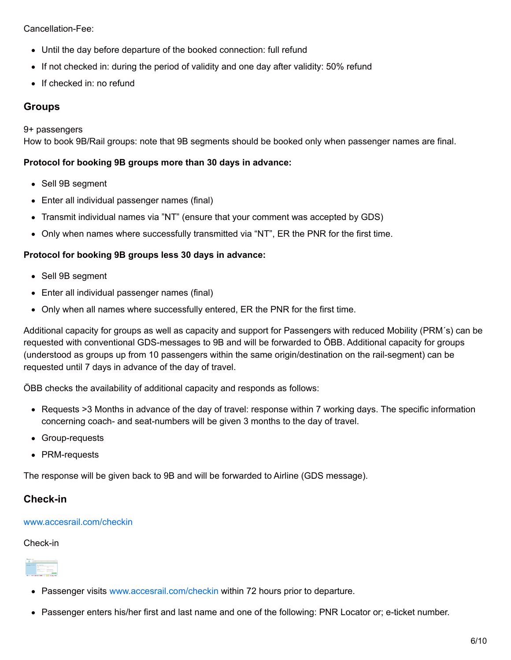Cancellation-Fee:

- Until the day before departure of the booked connection: full refund
- If not checked in: during the period of validity and one day after validity: 50% refund
- If checked in: no refund

### **Groups**

9+ passengers

How to book 9B/Rail groups: note that 9B segments should be booked only when passenger names are final.

#### **Protocol for booking 9B groups more than 30 days in advance:**

- Sell 9B segment
- Enter all individual passenger names (final)
- Transmit individual names via "NT" (ensure that your comment was accepted by GDS)
- Only when names where successfully transmitted via "NT", ER the PNR for the first time.

#### **Protocol for booking 9B groups less 30 days in advance:**

- Sell 9B segment
- Enter all individual passenger names (final)
- Only when all names where successfully entered, ER the PNR for the first time.

Additional capacity for groups as well as capacity and support for Passengers with reduced Mobility (PRM´s) can be requested with conventional GDS-messages to 9B and will be forwarded to ÖBB. Additional capacity for groups (understood as groups up from 10 passengers within the same origin/destination on the rail-segment) can be requested until 7 days in advance of the day of travel.

ÖBB checks the availability of additional capacity and responds as follows:

- Requests >3 Months in advance of the day of travel: response within 7 working days. The specific information concerning coach- and seat-numbers will be given 3 months to the day of travel.
- Group-requests
- PRM-requests

The response will be given back to 9B and will be forwarded to Airline (GDS message).

#### **Check-in**

#### [www.accesrail.com/checkin](http://www.accesrail.com/checkin)

#### Check-in



- Passenger visits [www.accesrail.com/checkin](http://www.accesrail.com/checkin) within 72 hours prior to departure.
- Passenger enters his/her first and last name and one of the following: PNR Locator or; e-ticket number.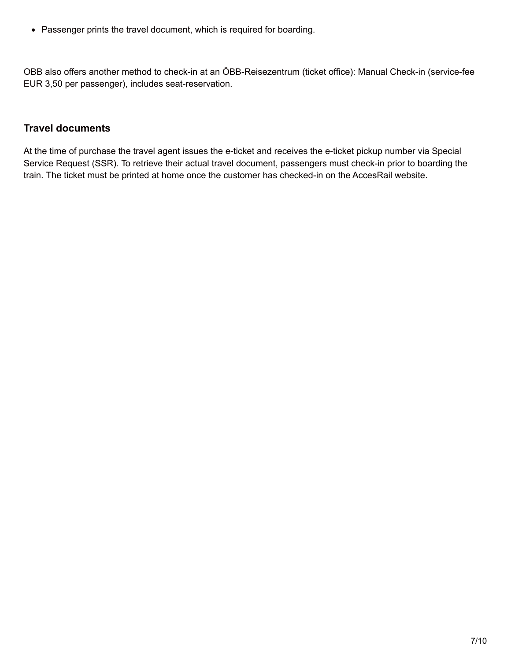Passenger prints the travel document, which is required for boarding.

OBB also offers another method to check-in at an ÖBB-Reisezentrum (ticket office): Manual Check-in (service-fee EUR 3,50 per passenger), includes seat-reservation.

### **Travel documents**

At the time of purchase the travel agent issues the e-ticket and receives the e-ticket pickup number via Special Service Request (SSR). To retrieve their actual travel document, passengers must check-in prior to boarding the train. The ticket must be printed at home once the customer has checked-in on the AccesRail website.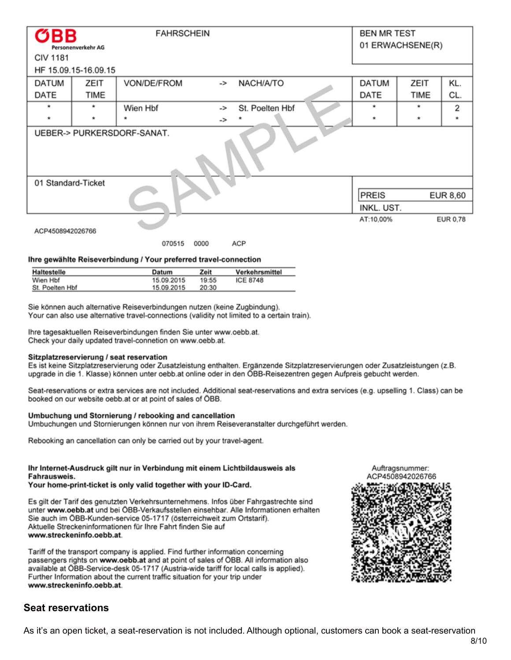<span id="page-7-0"></span>

| OBB<br><b>FAHRSCHEIN</b><br>Personenverkehr AG |                      |                |    | <b>BEN MR TEST</b><br>01 ERWACHSENE(R) |           |         |          |  |
|------------------------------------------------|----------------------|----------------|----|----------------------------------------|-----------|---------|----------|--|
| <b>CIV 1181</b>                                |                      |                |    |                                        |           |         |          |  |
|                                                | HF 15.09.15-16.09.15 |                |    |                                        |           |         |          |  |
| DATUM                                          | ZEIT                 | VON/DE/FROM    | -> | NACH/A/TO                              | DATUM     | ZEIT    | KL.      |  |
| DATE                                           | TIME                 |                |    |                                        | DATE      | TIME    | CL.      |  |
|                                                | ۰                    | Wien Hbf       | -> | St. Poelten Hbf                        | ۰         | ۰       | 2        |  |
| $\star$                                        | $\star$              | ٠              | -> |                                        | $\star$   | $\star$ | $\star$  |  |
| UEBER-> PURKERSDORF-SANAT.                     |                      |                |    |                                        |           |         |          |  |
| 01 Standard-Ticket                             |                      |                |    |                                        |           |         |          |  |
|                                                |                      |                |    |                                        |           |         | EUR 8,60 |  |
| INKL. UST.                                     |                      |                |    |                                        |           |         |          |  |
| ACP4508942026766                               |                      | 070515<br>0000 |    | ACP                                    | AT:10,00% |         | EUR 0.78 |  |

#### Ihre gewählte Reiseverbindung / Your preferred travel-connection

| <b>Haltestelle</b> | Datum      | Zeit  | Verkehrsmittel  |
|--------------------|------------|-------|-----------------|
| Wien Hbf           | 15.09.2015 | 19:55 | <b>ICE 8748</b> |
| St. Poelten Hbf    | 15.09.2015 | 20:30 |                 |

Sie können auch alternative Reiseverbindungen nutzen (keine Zugbindung). Your can also use alternative travel-connections (validity not limited to a certain train).

Ihre tagesaktuellen Reiseverbindungen finden Sie unter www.oebb.at. Check your daily updated travel-connetion on www.oebb.at.

#### Sitzplatzreservierung / seat reservation

Es ist keine Sitzplatzreservierung oder Zusatzleistung enthalten. Ergänzende Sitzplatzreservierungen oder Zusatzleistungen (z.B. upgrade in die 1. Klasse) können unter oebb.at online oder in den ÖBB-Reisezentren gegen Aufpreis gebucht werden.

Seat-reservations or extra services are not included. Additional seat-reservations and extra services (e.g. upselling 1. Class) can be booked on our website oebb.at or at point of sales of ÖBB.

#### Umbuchung und Stornierung / rebooking and cancellation

Umbuchungen und Stornierungen können nur von ihrem Reiseveranstalter durchgeführt werden.

Rebooking an cancellation can only be carried out by your travel-agent.

#### Ihr Internet-Ausdruck gilt nur in Verbindung mit einem Lichtbildausweis als Fahrausweis.

#### Your home-print-ticket is only valid together with your ID-Card.

Es gilt der Tarif des genutzten Verkehrsunternehmens. Infos über Fahrgastrechte sind unter www.oebb.at und bei ÖBB-Verkaufsstellen einsehbar. Alle Informationen erhalten Sie auch im ÖBB-Kunden-service 05-1717 (österreichweit zum Ortstarif). Aktuelle Streckeninformationen für Ihre Fahrt finden Sie auf www.streckeninfo.oebb.at.

Tariff of the transport company is applied. Find further information concerning passengers rights on www.oebb.at and at point of sales of OBB. All information also available at ÖBB-Service-desk 05-1717 (Austria-wide tariff for local calls is applied). Further Information about the current traffic situation for your trip under www.streckeninfo.oebb.at.

#### Auftragsnummer: ACP4508942026766



#### **Seat reservations**

As it's an open ticket, a seat-reservation is not included. Although optional, customers can book a seat-reservation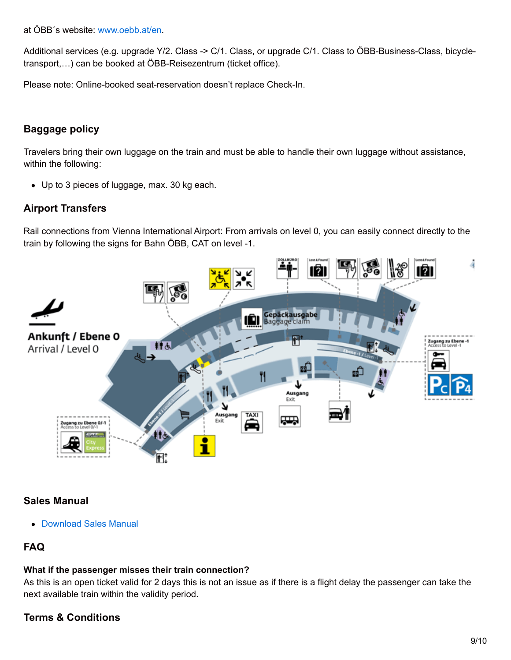at ÖBB´s website: [www.oebb.at/en](http://www.oebb.at/en).

Additional services (e.g. upgrade Y/2. Class -> C/1. Class, or upgrade C/1. Class to ÖBB-Business-Class, bicycletransport,…) can be booked at ÖBB-Reisezentrum (ticket office).

Please note: Online-booked seat-reservation doesn't replace Check-In.

### **Baggage policy**

Travelers bring their own luggage on the train and must be able to handle their own luggage without assistance, within the following:

Up to 3 pieces of luggage, max. 30 kg each.

### **Airport Transfers**

Rail connections from Vienna International Airport: From arrivals on level 0, you can easily connect directly to the train by following the signs for Bahn ÖBB, CAT on level -1.



### <span id="page-8-0"></span>**Sales Manual**

Download Sales Manual

# **FAQ**

#### **What if the passenger misses their train connection?**

As this is an open ticket valid for 2 days this is not an issue as if there is a flight delay the passenger can take the next available train within the validity period.

### **Terms & Conditions**